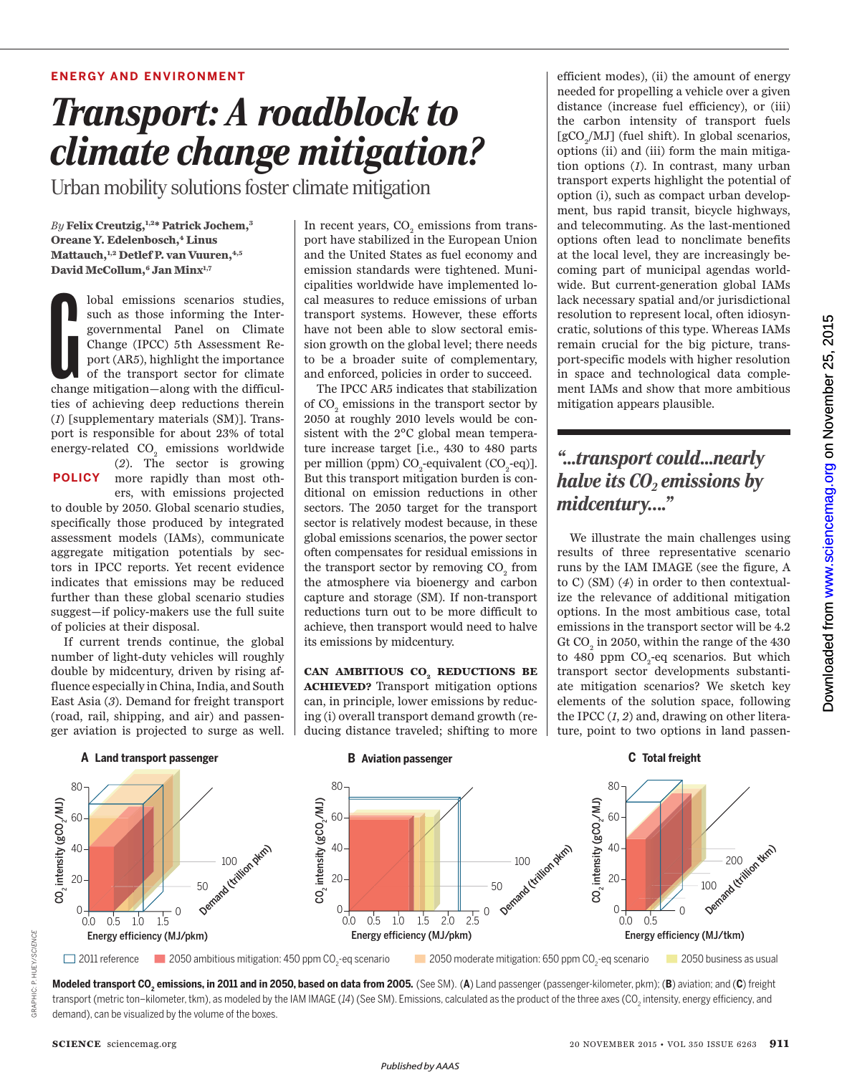### **ENERGY AND ENVIRONMENT**

# *Transport: A roadblock to climate change mitigation?*

Urban mobility solutions foster climate mitigation

*By* **Felix Creutzig,1,2\* Patrick Jochem,<sup>3</sup> Oreane Y. Edelenbosch,<sup>4</sup> Linus Mattauch,1,2 Detlef P. van Vuuren,4,5 David McCollum,<sup>6</sup> Jan Minx1,7**

Iobal emissions scenarios studies,<br>such as those informing the Inter-<br>governmental Panel on Climate<br>Change (IPCC) 5th Assessment Re-<br>port (AR5), highlight the importance<br>of the transport sector for climate<br>change mitigatio lobal emissions scenarios studies, such as those informing the Intergovernmental Panel on Climate Change (IPCC) 5th Assessment Report (AR5), highlight the importance of the transport sector for climate ties of achieving deep reductions therein (*1*) [supplementary materials (SM)]. Transport is responsible for about 23% of total energy-related  $CO<sub>2</sub>$  emissions worldwide

(*2*). The sector is growing more rapidly than most oth-**POLICY** ers, with emissions projected

to double by 2050. Global scenario studies, specifically those produced by integrated assessment models (IAMs), communicate aggregate mitigation potentials by sectors in IPCC reports. Yet recent evidence indicates that emissions may be reduced further than these global scenario studies suggest—if policy-makers use the full suite of policies at their disposal.

If current trends continue, the global number of light-duty vehicles will roughly double by midcentury, driven by rising affluence especially in China, India, and South East Asia (*3*). Demand for freight transport (road, rail, shipping, and air) and passenger aviation is projected to surge as well.

In recent years,  $\mathrm{CO}_2$  emissions from transport have stabilized in the European Union and the United States as fuel economy and emission standards were tightened. Municipalities worldwide have implemented local measures to reduce emissions of urban transport systems. However, these efforts have not been able to slow sectoral emission growth on the global level; there needs to be a broader suite of complementary, and enforced, policies in order to succeed.

The IPCC AR5 indicates that stabilization of  $\mathrm{CO}_\mathrm{2}$  emissions in the transport sector by 2050 at roughly 2010 levels would be consistent with the 2°C global mean temperature increase target [i.e., 430 to 480 parts per million (ppm)  $CO_2$ -equivalent (CO<sub>2</sub>-eq)]. But this transport mitigation burden is conditional on emission reductions in other sectors. The 2050 target for the transport sector is relatively modest because, in these global emissions scenarios, the power sector often compensates for residual emissions in the transport sector by removing  $\mathrm{CO}_2^{}$  from the atmosphere via bioenergy and carbon capture and storage (SM). If non-transport reductions turn out to be more difficult to achieve, then transport would need to halve its emissions by midcentury.

**CAN AMBITIOUS CO<sup>2</sup> REDUCTIONS BE ACHIEVED?** Transport mitigation options can, in principle, lower emissions by reducing (i) overall transport demand growth (reducing distance traveled; shifting to more

efficient modes), (ii) the amount of energy needed for propelling a vehicle over a given distance (increase fuel efficiency), or (iii) the carbon intensity of transport fuels  $\mbox{[gCO}_{\mbox{$\scriptstyle 2$}}/\mbox{MJ}]$  (fuel shift). In global scenarios, options (ii) and (iii) form the main mitigation options (*1*). In contrast, many urban transport experts highlight the potential of option (i), such as compact urban development, bus rapid transit, bicycle highways, and telecommuting. As the last-mentioned options often lead to nonclimate benefits at the local level, they are increasingly becoming part of municipal agendas worldwide. But current-generation global IAMs lack necessary spatial and/or jurisdictional resolution to represent local, often idiosyncratic, solutions of this type. Whereas IAMs remain crucial for the big picture, transport-specific models with higher resolution in space and technological data complement IAMs and show that more ambitious mitigation appears plausible.

## *"...transport could... nearly halve its CO<sup>2</sup> emissions by midcentury…."*

We illustrate the main challenges using results of three representative scenario runs by the IAM IMAGE (see the figure, A to C) (SM) (*4*) in order to then contextualize the relevance of additional mitigation options. In the most ambitious case, total emissions in the transport sector will be 4.2 Gt  $\mathrm{CO}_2$  in 2050, within the range of the 430 to 480 ppm CO<sub>2</sub>-eq scenarios. But which transport sector developments substantiate mitigation scenarios? We sketch key elements of the solution space, following the IPCC (*1*, *2*) and, drawing on other literature, point to two options in land passen-



**Modeled transport CO<sup>2</sup> emissions, in 2011 and in 2050, based on data from 2005.** (See SM). (**A**) Land passenger (passenger-kilometer, pkm); (**B**) aviation; and (**C**) freight transport (metric ton–kilometer, tkm), as modeled by the IAM IMAGE (*14*) (See SM). Emissions, calculated as the product of the three axes (CO<sub>2</sub> intensity, energy efficiency, and demand), can be visualized by the volume of the boxes.